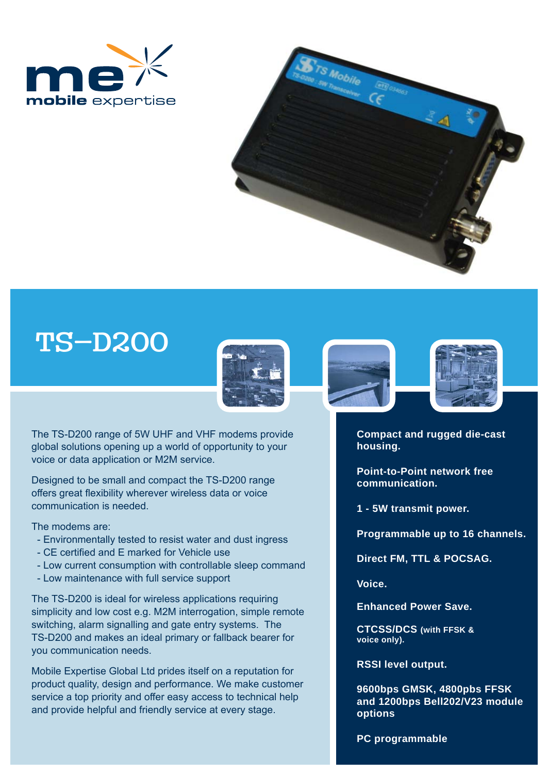



## TS-D200



The TS-D200 range of 5W UHF and VHF modems provide global solutions opening up a world of opportunity to your voice or data application or M2M service.

Designed to be small and compact the TS-D200 range offers great flexibility wherever wireless data or voice communication is needed.

The modems are:

- Environmentally tested to resist water and dust ingress
- CE certified and E marked for Vehicle use
- Low current consumption with controllable sleep command
- Low maintenance with full service support

The TS-D200 is ideal for wireless applications requiring simplicity and low cost e.g. M2M interrogation, simple remote switching, alarm signalling and gate entry systems. The TS-D200 and makes an ideal primary or fallback bearer for you communication needs.

Mobile Expertise Global Ltd prides itself on a reputation for product quality, design and performance. We make customer service a top priority and offer easy access to technical help and provide helpful and friendly service at every stage.





**Compact and rugged die-cast housing.**

**Point-to-Point network free communication.**

**1 - 5W transmit power.**

**Programmable up to 16 channels.** 

**Direct FM, TTL & POCSAG.** 

**Voice.**

**Enhanced Power Save.**

**CTCSS/DCS (with FFSK & voice only).**

**RSSI level output.**

**9600bps GMSK, 4800pbs FFSK and 1200bps Bell202/V23 module options**

**PC programmable**